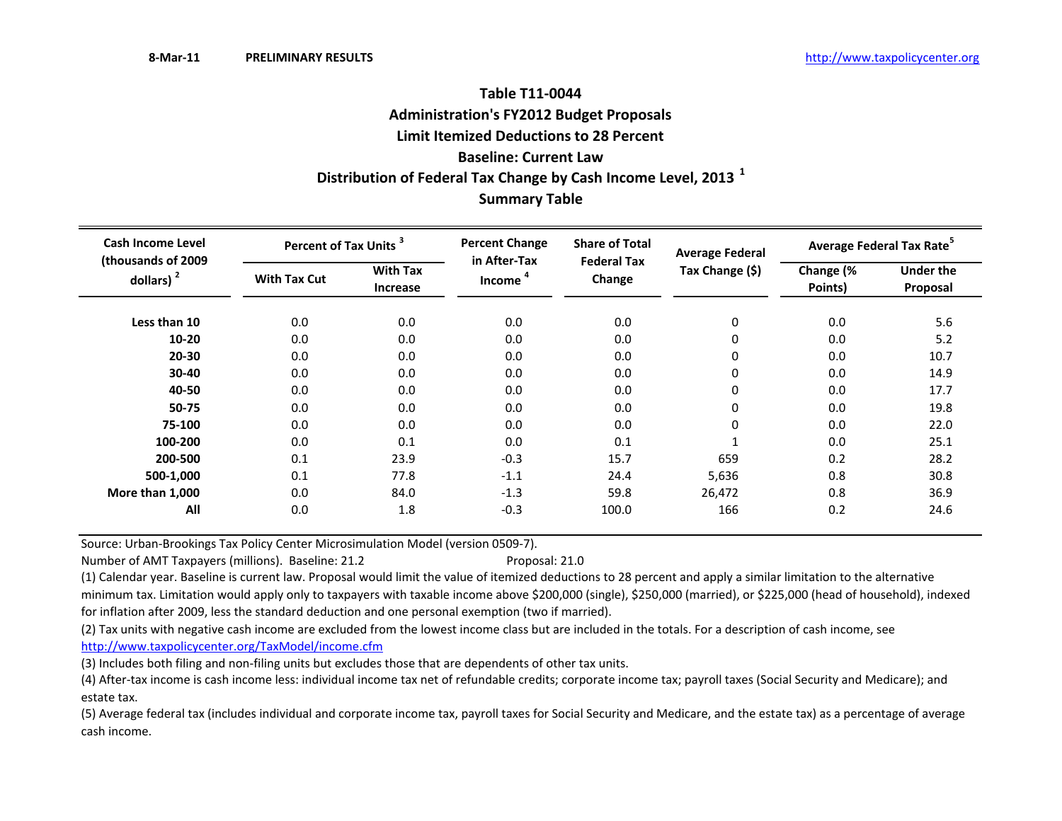# **Summary Table Table T11‐0044Administration's FY2012 Budget Proposals Limit Itemized Deductions to 28 Percent Baseline: Current LawDistribution of Federal Tax Change by Cash Income Level, <sup>2013</sup> <sup>1</sup>**

| Cash Income Level                   | Percent of Tax Units <sup>3</sup> |                             | <b>Percent Change</b><br>in After-Tax | <b>Share of Total</b><br><b>Federal Tax</b> | <b>Average Federal</b> | Average Federal Tax Rate <sup>5</sup> |                              |  |
|-------------------------------------|-----------------------------------|-----------------------------|---------------------------------------|---------------------------------------------|------------------------|---------------------------------------|------------------------------|--|
| (thousands of 2009)<br>dollars) $2$ | <b>With Tax Cut</b>               | <b>With Tax</b><br>Increase | <b>Income</b>                         | Change                                      | Tax Change (\$)        | Change (%<br>Points)                  | <b>Under the</b><br>Proposal |  |
| Less than 10                        | 0.0                               | 0.0                         | 0.0                                   | 0.0                                         | $\boldsymbol{0}$       | 0.0                                   | 5.6                          |  |
| $10 - 20$                           | 0.0                               | 0.0                         | 0.0                                   | 0.0                                         | 0                      | 0.0                                   | 5.2                          |  |
| $20 - 30$                           | 0.0                               | 0.0                         | 0.0                                   | 0.0                                         | 0                      | 0.0                                   | 10.7                         |  |
| 30-40                               | 0.0                               | 0.0                         | 0.0                                   | 0.0                                         | 0                      | 0.0                                   | 14.9                         |  |
| 40-50                               | 0.0                               | 0.0                         | 0.0                                   | 0.0                                         | 0                      | 0.0                                   | 17.7                         |  |
| 50-75                               | 0.0                               | 0.0                         | 0.0                                   | 0.0                                         | 0                      | 0.0                                   | 19.8                         |  |
| 75-100                              | 0.0                               | 0.0                         | 0.0                                   | 0.0                                         | 0                      | 0.0                                   | 22.0                         |  |
| 100-200                             | 0.0                               | 0.1                         | 0.0                                   | 0.1                                         |                        | 0.0                                   | 25.1                         |  |
| 200-500                             | 0.1                               | 23.9                        | $-0.3$                                | 15.7                                        | 659                    | 0.2                                   | 28.2                         |  |
| 500-1,000                           | 0.1                               | 77.8                        | $-1.1$                                | 24.4                                        | 5,636                  | 0.8                                   | 30.8                         |  |
| More than 1,000                     | 0.0                               | 84.0                        | $-1.3$                                | 59.8                                        | 26,472                 | 0.8                                   | 36.9                         |  |
| All                                 | 0.0                               | 1.8                         | $-0.3$                                | 100.0                                       | 166                    | 0.2                                   | 24.6                         |  |

Source: Urban‐Brookings Tax Policy Center Microsimulation Model (version 0509‐7).

Number of AMT Taxpayers (millions). Baseline: 21.2 Proposal: 21.0

(1) Calendar year. Baseline is current law. Proposal would limit the value of itemized deductions to 28 percent and apply <sup>a</sup> similar limitation to the alternative minimum tax. Limitation would apply only to taxpayers with taxable income above \$200,000 (single), \$250,000 (married), or \$225,000 (head of household), indexed for inflation after 2009, less the standard deduction and one personal exemption (two if married).

(2) Tax units with negative cash income are excluded from the lowest income class but are included in the totals. For <sup>a</sup> description of cash income, see http://www.taxpolicycenter.org/TaxModel/income.cfm

(3) Includes both filing and non‐filing units but excludes those that are dependents of other tax units.

(4) After‐tax income is cash income less: individual income tax net of refundable credits; corporate income tax; payroll taxes (Social Security and Medicare); and estate tax.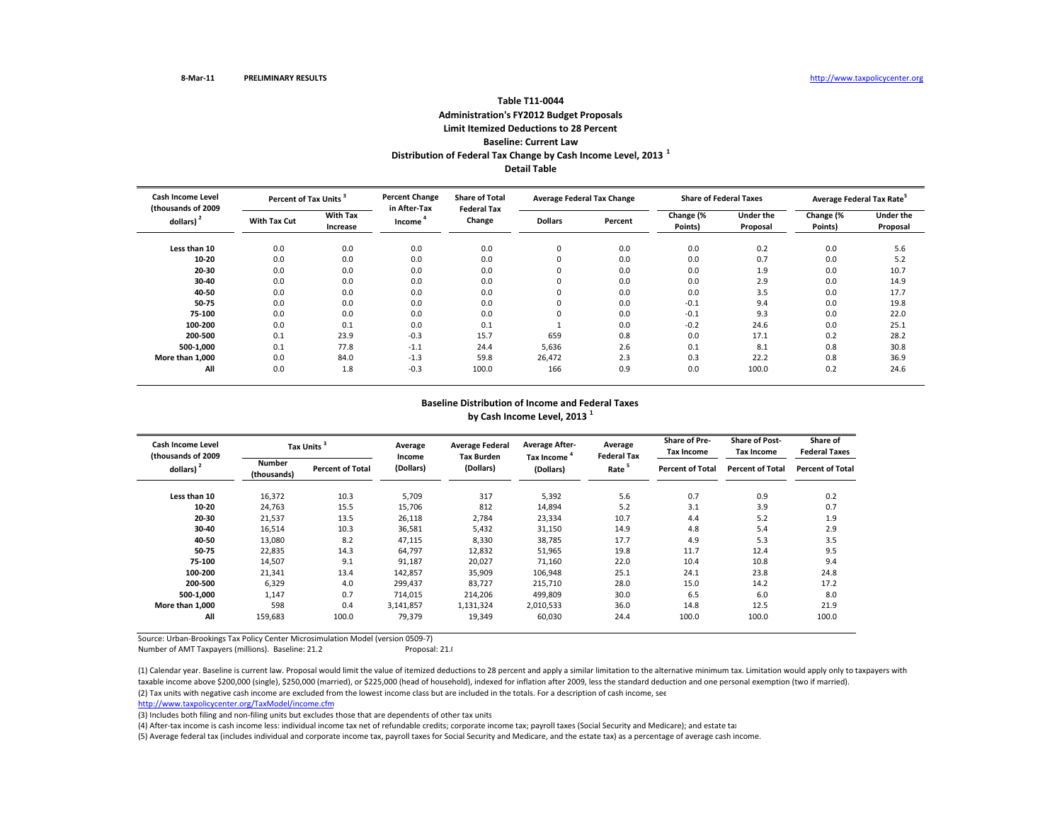### **Table T11‐0044Administration's FY2012 Budget Proposals Limit Itemized Deductions to 28 Percent Baseline: Current LawDistribution of Federal Tax Change by Cash Income Level, <sup>2013</sup> <sup>1</sup> Detail Table**

| <b>Cash Income Level</b><br>(thousands of 2009 | Percent of Tax Units <sup>3</sup> |                             | <b>Percent Change</b><br>in After-Tax | <b>Share of Total</b><br><b>Federal Tax</b> | <b>Average Federal Tax Change</b> |         | <b>Share of Federal Taxes</b> |                       | Average Federal Tax Rate |                       |
|------------------------------------------------|-----------------------------------|-----------------------------|---------------------------------------|---------------------------------------------|-----------------------------------|---------|-------------------------------|-----------------------|--------------------------|-----------------------|
| dollars) $2$                                   | <b>With Tax Cut</b>               | <b>With Tax</b><br>Increase | Income                                | Change                                      | <b>Dollars</b>                    | Percent | Change (%<br>Points)          | Under the<br>Proposal | Change (%<br>Points)     | Under the<br>Proposal |
| Less than 10                                   | 0.0                               | 0.0                         | 0.0                                   | 0.0                                         | 0                                 | 0.0     | 0.0                           | 0.2                   | 0.0                      | 5.6                   |
| 10-20                                          | 0.0                               | 0.0                         | 0.0                                   | 0.0                                         | 0                                 | 0.0     | 0.0                           | 0.7                   | 0.0                      | 5.2                   |
| 20-30                                          | 0.0                               | 0.0                         | 0.0                                   | 0.0                                         | 0                                 | 0.0     | 0.0                           | 1.9                   | 0.0                      | 10.7                  |
| 30-40                                          | 0.0                               | 0.0                         | 0.0                                   | 0.0                                         | 0                                 | 0.0     | 0.0                           | 2.9                   | 0.0                      | 14.9                  |
| 40-50                                          | 0.0                               | 0.0                         | 0.0                                   | 0.0                                         | $\mathbf 0$                       | 0.0     | 0.0                           | 3.5                   | 0.0                      | 17.7                  |
| 50-75                                          | 0.0                               | 0.0                         | 0.0                                   | 0.0                                         | 0                                 | 0.0     | $-0.1$                        | 9.4                   | 0.0                      | 19.8                  |
| 75-100                                         | 0.0                               | 0.0                         | 0.0                                   | 0.0                                         | 0                                 | 0.0     | $-0.1$                        | 9.3                   | 0.0                      | 22.0                  |
| 100-200                                        | 0.0                               | 0.1                         | 0.0                                   | 0.1                                         |                                   | 0.0     | $-0.2$                        | 24.6                  | 0.0                      | 25.1                  |
| 200-500                                        | 0.1                               | 23.9                        | $-0.3$                                | 15.7                                        | 659                               | 0.8     | 0.0                           | 17.1                  | 0.2                      | 28.2                  |
| 500-1.000                                      | 0.1                               | 77.8                        | $-1.1$                                | 24.4                                        | 5,636                             | 2.6     | 0.1                           | 8.1                   | 0.8                      | 30.8                  |
| More than 1,000                                | 0.0                               | 84.0                        | $-1.3$                                | 59.8                                        | 26,472                            | 2.3     | 0.3                           | 22.2                  | 0.8                      | 36.9                  |
| All                                            | 0.0                               | 1.8                         | $-0.3$                                | 100.0                                       | 166                               | 0.9     | 0.0                           | 100.0                 | 0.2                      | 24.6                  |

# **Baseline Distribution of Income and Federal Taxes**

**by Cash Income Level, <sup>2013</sup> <sup>1</sup>**

| Cash Income Level<br>(thousands of 2009 |                       | Tax Units <sup>3</sup>  | Average<br>Income | <b>Average Federal</b><br><b>Tax Burden</b> | <b>Average After-</b><br>Tax Income <sup>4</sup> | Average<br><b>Federal Tax</b> | <b>Share of Pre-</b><br>Tax Income | <b>Share of Post-</b><br><b>Tax Income</b> | Share of<br><b>Federal Taxes</b> |
|-----------------------------------------|-----------------------|-------------------------|-------------------|---------------------------------------------|--------------------------------------------------|-------------------------------|------------------------------------|--------------------------------------------|----------------------------------|
| dollars) $2$                            | Number<br>(thousands) | <b>Percent of Total</b> | (Dollars)         | (Dollars)                                   | (Dollars)                                        | Rate <sup>5</sup>             | <b>Percent of Total</b>            | <b>Percent of Total</b>                    | <b>Percent of Total</b>          |
| Less than 10                            | 16,372                | 10.3                    | 5,709             | 317                                         | 5,392                                            | 5.6                           | 0.7                                | 0.9                                        | 0.2                              |
| 10-20                                   | 24,763                | 15.5                    | 15,706            | 812                                         | 14,894                                           | 5.2                           | 3.1                                | 3.9                                        | 0.7                              |
| 20-30                                   | 21,537                | 13.5                    | 26,118            | 2,784                                       | 23,334                                           | 10.7                          | 4.4                                | 5.2                                        | 1.9                              |
| 30-40                                   | 16,514                | 10.3                    | 36,581            | 5,432                                       | 31,150                                           | 14.9                          | 4.8                                | 5.4                                        | 2.9                              |
| 40-50                                   | 13,080                | 8.2                     | 47,115            | 8,330                                       | 38,785                                           | 17.7                          | 4.9                                | 5.3                                        | 3.5                              |
| 50-75                                   | 22,835                | 14.3                    | 64,797            | 12,832                                      | 51,965                                           | 19.8                          | 11.7                               | 12.4                                       | 9.5                              |
| 75-100                                  | 14,507                | 9.1                     | 91,187            | 20,027                                      | 71,160                                           | 22.0                          | 10.4                               | 10.8                                       | 9.4                              |
| 100-200                                 | 21,341                | 13.4                    | 142,857           | 35,909                                      | 106,948                                          | 25.1                          | 24.1                               | 23.8                                       | 24.8                             |
| 200-500                                 | 6,329                 | 4.0                     | 299,437           | 83,727                                      | 215,710                                          | 28.0                          | 15.0                               | 14.2                                       | 17.2                             |
| 500-1,000                               | 1,147                 | 0.7                     | 714,015           | 214,206                                     | 499,809                                          | 30.0                          | 6.5                                | 6.0                                        | 8.0                              |
| More than 1.000                         | 598                   | 0.4                     | 3,141,857         | 1,131,324                                   | 2,010,533                                        | 36.0                          | 14.8                               | 12.5                                       | 21.9                             |
| All                                     | 159,683               | 100.0                   | 79,379            | 19,349                                      | 60,030                                           | 24.4                          | 100.0                              | 100.0                                      | 100.0                            |

Source: Urban‐Brookings Tax Policy Center Microsimulation Model (version 0509‐7)

Number of AMT Taxpayers (millions). Baseline: 21.2 Proposal: 21.0

(2) Tax units with negative cash income are excluded from the lowest income class but are included in the totals. For <sup>a</sup> description of cash income, see (1) Calendar year. Baseline is current law. Proposal would limit the value of itemized deductions to 28 percent and apply <sup>a</sup> similar limitation to the alternative minimum tax. Limitation would apply only to taxpayers with taxable income above \$200,000 (single), \$250,000 (married), or \$225,000 (head of household), indexed for inflation after 2009, less the standard deduction and one personal exemption (two if married).

http://www.taxpolicycenter.org/TaxModel/income.cfm

(3) Includes both filing and non-filing units but excludes those that are dependents of other tax units

(4) After‐tax income is cash income less: individual income tax net of refundable credits; corporate income tax; payroll taxes (Social Security and Medicare); and estate tax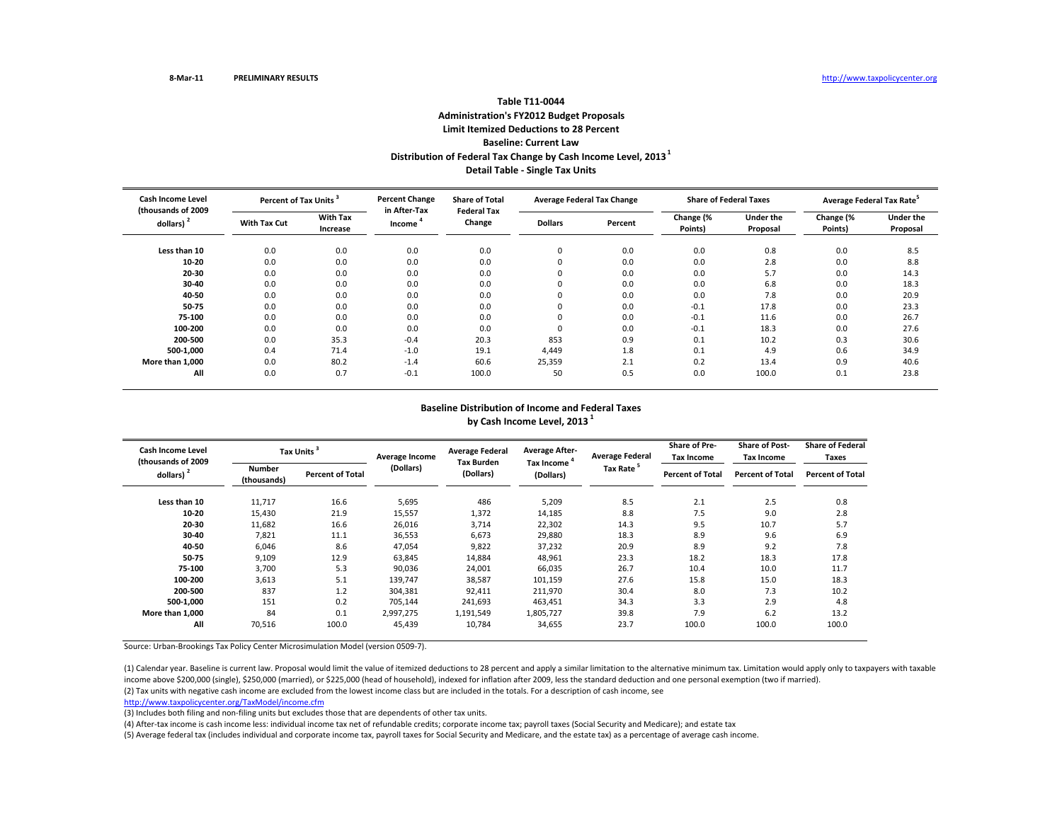# **Table T11‐0044Administration's FY2012 Budget Proposals Limit Itemized Deductions to 28 Percent Baseline: Current LawDistribution of Federal Tax Change by Cash Income Level, <sup>2013</sup><sup>1</sup> Detail Table ‐ Single Tax Units**

| <b>Cash Income Level</b><br>(thousands of 2009 |              | <b>Percent Change</b><br>Percent of Tax Units <sup>3</sup> |                        | <b>Share of Total</b><br><b>Federal Tax</b> | <b>Average Federal Tax Change</b> |         | <b>Share of Federal Taxes</b> |                              | Average Federal Tax Rate <sup>5</sup> |                              |
|------------------------------------------------|--------------|------------------------------------------------------------|------------------------|---------------------------------------------|-----------------------------------|---------|-------------------------------|------------------------------|---------------------------------------|------------------------------|
| dollars)                                       | With Tax Cut | <b>With Tax</b><br>Increase                                | in After-Tax<br>Income | Change                                      | <b>Dollars</b>                    | Percent | Change (%<br>Points)          | <b>Under the</b><br>Proposal | Change (%<br>Points)                  | <b>Under the</b><br>Proposal |
| Less than 10                                   | 0.0          | 0.0                                                        | 0.0                    | 0.0                                         | 0                                 | 0.0     | 0.0                           | 0.8                          | 0.0                                   | 8.5                          |
| 10-20                                          | 0.0          | 0.0                                                        | 0.0                    | 0.0                                         | $\Omega$                          | 0.0     | 0.0                           | 2.8                          | 0.0                                   | 8.8                          |
| 20-30                                          | 0.0          | 0.0                                                        | 0.0                    | 0.0                                         | $\Omega$                          | 0.0     | 0.0                           | 5.7                          | 0.0                                   | 14.3                         |
| 30-40                                          | 0.0          | 0.0                                                        | 0.0                    | 0.0                                         | 0                                 | 0.0     | 0.0                           | 6.8                          | 0.0                                   | 18.3                         |
| 40-50                                          | 0.0          | 0.0                                                        | 0.0                    | 0.0                                         | $\Omega$                          | 0.0     | 0.0                           | 7.8                          | 0.0                                   | 20.9                         |
| $50 - 75$                                      | 0.0          | 0.0                                                        | 0.0                    | 0.0                                         |                                   | 0.0     | $-0.1$                        | 17.8                         | 0.0                                   | 23.3                         |
| 75-100                                         | 0.0          | 0.0                                                        | 0.0                    | 0.0                                         |                                   | 0.0     | $-0.1$                        | 11.6                         | 0.0                                   | 26.7                         |
| 100-200                                        | 0.0          | 0.0                                                        | 0.0                    | 0.0                                         | υ                                 | 0.0     | $-0.1$                        | 18.3                         | 0.0                                   | 27.6                         |
| 200-500                                        | 0.0          | 35.3                                                       | $-0.4$                 | 20.3                                        | 853                               | 0.9     | 0.1                           | 10.2                         | 0.3                                   | 30.6                         |
| 500-1.000                                      | 0.4          | 71.4                                                       | $-1.0$                 | 19.1                                        | 4,449                             | 1.8     | 0.1                           | 4.9                          | 0.6                                   | 34.9                         |
| More than 1.000                                | 0.0          | 80.2                                                       | $-1.4$                 | 60.6                                        | 25,359                            | 2.1     | 0.2                           | 13.4                         | 0.9                                   | 40.6                         |
| All                                            | 0.0          | 0.7                                                        | $-0.1$                 | 100.0                                       | 50                                | 0.5     | 0.0                           | 100.0                        | 0.1                                   | 23.8                         |

#### **Baseline Distribution of Income and Federal Taxes by Cash Income Level, <sup>2013</sup> <sup>1</sup>**

| Cash Income Level<br>(thousands of 2009 |                              | Tax Units <sup>3</sup>  | Average Income | <b>Average Federal</b>         | <b>Average After-</b>                | <b>Average Federal</b> | <b>Share of Pre-</b><br><b>Tax Income</b> | <b>Share of Post-</b><br><b>Tax Income</b> | <b>Share of Federal</b><br>Taxes |
|-----------------------------------------|------------------------------|-------------------------|----------------|--------------------------------|--------------------------------------|------------------------|-------------------------------------------|--------------------------------------------|----------------------------------|
| dollars) $2$                            | <b>Number</b><br>(thousands) | <b>Percent of Total</b> | (Dollars)      | <b>Tax Burden</b><br>(Dollars) | Tax Income <sup>4</sup><br>(Dollars) | Tax Rate <sup>5</sup>  | <b>Percent of Total</b>                   | <b>Percent of Total</b>                    | <b>Percent of Total</b>          |
| Less than 10                            | 11,717                       | 16.6                    | 5,695          | 486                            | 5,209                                | 8.5                    | 2.1                                       | 2.5                                        | 0.8                              |
| 10-20                                   | 15,430                       | 21.9                    | 15,557         | 1,372                          | 14,185                               | 8.8                    | 7.5                                       | 9.0                                        | 2.8                              |
| 20-30                                   | 11,682                       | 16.6                    | 26,016         | 3,714                          | 22,302                               | 14.3                   | 9.5                                       | 10.7                                       | 5.7                              |
| 30-40                                   | 7,821                        | 11.1                    | 36,553         | 6,673                          | 29,880                               | 18.3                   | 8.9                                       | 9.6                                        | 6.9                              |
| 40-50                                   | 6,046                        | 8.6                     | 47,054         | 9,822                          | 37,232                               | 20.9                   | 8.9                                       | 9.2                                        | 7.8                              |
| 50-75                                   | 9,109                        | 12.9                    | 63,845         | 14,884                         | 48,961                               | 23.3                   | 18.2                                      | 18.3                                       | 17.8                             |
| 75-100                                  | 3,700                        | 5.3                     | 90,036         | 24,001                         | 66,035                               | 26.7                   | 10.4                                      | 10.0                                       | 11.7                             |
| 100-200                                 | 3,613                        | 5.1                     | 139,747        | 38,587                         | 101,159                              | 27.6                   | 15.8                                      | 15.0                                       | 18.3                             |
| 200-500                                 | 837                          | 1.2                     | 304,381        | 92,411                         | 211,970                              | 30.4                   | 8.0                                       | 7.3                                        | 10.2                             |
| 500-1,000                               | 151                          | 0.2                     | 705,144        | 241,693                        | 463,451                              | 34.3                   | 3.3                                       | 2.9                                        | 4.8                              |
| More than 1,000                         | 84                           | 0.1                     | 2,997,275      | 1,191,549                      | 1,805,727                            | 39.8                   | 7.9                                       | 6.2                                        | 13.2                             |
| All                                     | 70,516                       | 100.0                   | 45,439         | 10,784                         | 34,655                               | 23.7                   | 100.0                                     | 100.0                                      | 100.0                            |

Source: Urban‐Brookings Tax Policy Center Microsimulation Model (version 0509‐7).

(2) Tax units with negative cash income are excluded from the lowest income class but are included in the totals. For <sup>a</sup> description of cash income, see (1) Calendar year. Baseline is current law. Proposal would limit the value of itemized deductions to 28 percent and apply a similar limitation to the alternative minimum tax. Limitation would apply only to taxpayers with t income above \$200,000 (single), \$250,000 (married), or \$225,000 (head of household), indexed for inflation after 2009, less the standard deduction and one personal exemption (two if married).

http://www.taxpolicycenter.org/TaxModel/income.cfm

(3) Includes both filing and non‐filing units but excludes those that are dependents of other tax units.

(4) After‐tax income is cash income less: individual income tax net of refundable credits; corporate income tax; payroll taxes (Social Security and Medicare); and estate tax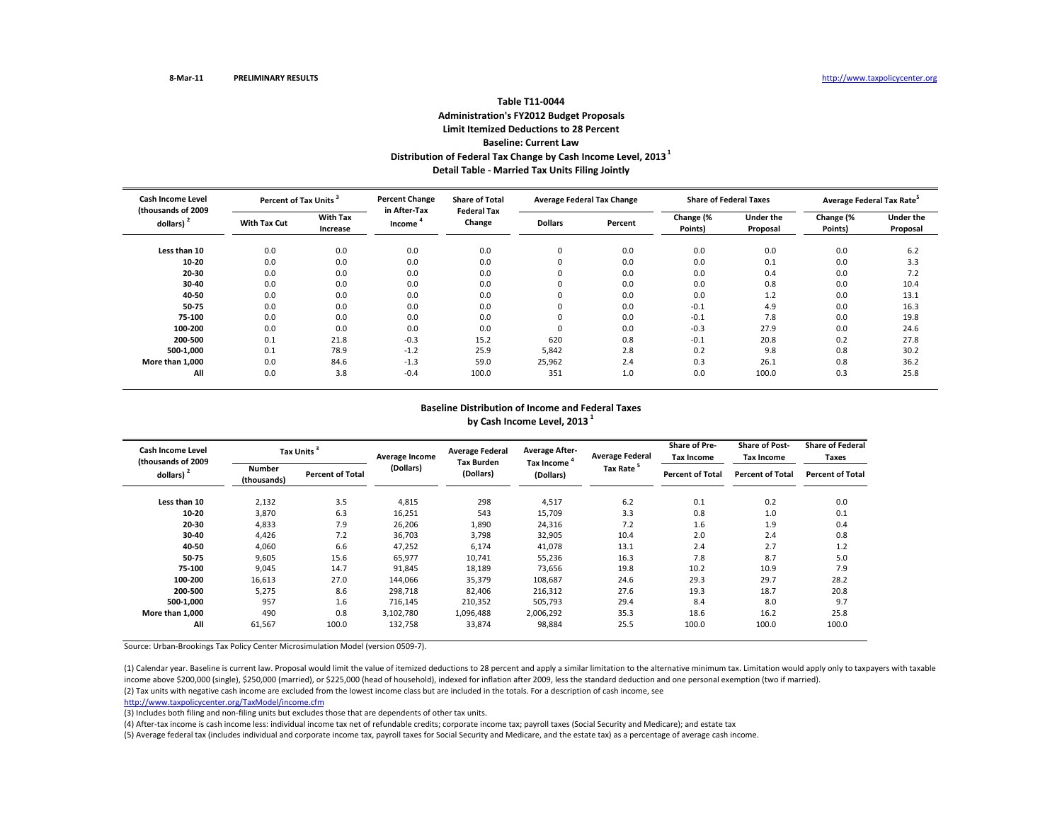# **Table T11‐0044Administration's FY2012 Budget Proposals Limit Itemized Deductions to 28 Percent Baseline: Current LawDistribution of Federal Tax Change by Cash Income Level, <sup>2013</sup><sup>1</sup> Detail Table ‐ Married Tax Units Filing Jointly**

| <b>Cash Income Level</b><br>(thousands of 2009 |              | <b>Percent Change</b><br>Percent of Tax Units <sup>3</sup> |                        | <b>Share of Total</b><br><b>Federal Tax</b> | <b>Average Federal Tax Change</b> |         | <b>Share of Federal Taxes</b> |                              | Average Federal Tax Rate <sup>5</sup> |                              |
|------------------------------------------------|--------------|------------------------------------------------------------|------------------------|---------------------------------------------|-----------------------------------|---------|-------------------------------|------------------------------|---------------------------------------|------------------------------|
| dollars)                                       | With Tax Cut | <b>With Tax</b><br>Increase                                | in After-Tax<br>Income | Change                                      | <b>Dollars</b>                    | Percent | Change (%<br>Points)          | <b>Under the</b><br>Proposal | Change (%<br>Points)                  | <b>Under the</b><br>Proposal |
| Less than 10                                   | 0.0          | 0.0                                                        | 0.0                    | 0.0                                         | 0                                 | 0.0     | 0.0                           | 0.0                          | 0.0                                   | 6.2                          |
| 10-20                                          | 0.0          | 0.0                                                        | 0.0                    | 0.0                                         | $\Omega$                          | 0.0     | 0.0                           | 0.1                          | 0.0                                   | 3.3                          |
| 20-30                                          | 0.0          | 0.0                                                        | 0.0                    | 0.0                                         | $\Omega$                          | 0.0     | 0.0                           | 0.4                          | 0.0                                   | 7.2                          |
| 30-40                                          | 0.0          | 0.0                                                        | 0.0                    | 0.0                                         |                                   | 0.0     | 0.0                           | 0.8                          | 0.0                                   | 10.4                         |
| 40-50                                          | 0.0          | 0.0                                                        | 0.0                    | 0.0                                         |                                   | 0.0     | 0.0                           | 1.2                          | 0.0                                   | 13.1                         |
| 50-75                                          | 0.0          | 0.0                                                        | 0.0                    | 0.0                                         |                                   | 0.0     | $-0.1$                        | 4.9                          | 0.0                                   | 16.3                         |
| 75-100                                         | 0.0          | 0.0                                                        | 0.0                    | 0.0                                         |                                   | 0.0     | $-0.1$                        | 7.8                          | 0.0                                   | 19.8                         |
| 100-200                                        | 0.0          | 0.0                                                        | 0.0                    | 0.0                                         |                                   | 0.0     | $-0.3$                        | 27.9                         | 0.0                                   | 24.6                         |
| 200-500                                        | 0.1          | 21.8                                                       | $-0.3$                 | 15.2                                        | 620                               | 0.8     | $-0.1$                        | 20.8                         | 0.2                                   | 27.8                         |
| 500-1.000                                      | 0.1          | 78.9                                                       | $-1.2$                 | 25.9                                        | 5,842                             | 2.8     | 0.2                           | 9.8                          | 0.8                                   | 30.2                         |
| More than 1.000                                | 0.0          | 84.6                                                       | $-1.3$                 | 59.0                                        | 25,962                            | 2.4     | 0.3                           | 26.1                         | 0.8                                   | 36.2                         |
| All                                            | 0.0          | 3.8                                                        | $-0.4$                 | 100.0                                       | 351                               | 1.0     | 0.0                           | 100.0                        | 0.3                                   | 25.8                         |

#### **Baseline Distribution of Income and Federal Taxes by Cash Income Level, <sup>2013</sup> <sup>1</sup>**

| Cash Income Level<br>(thousands of 2009 |                       | Tax Units <sup>3</sup>  | Average Income | <b>Average Federal</b><br><b>Tax Burden</b> | <b>Average After-</b>                | <b>Average Federal</b> | <b>Share of Pre-</b><br>Tax Income | <b>Share of Post-</b><br><b>Tax Income</b> | <b>Share of Federal</b><br>Taxes |
|-----------------------------------------|-----------------------|-------------------------|----------------|---------------------------------------------|--------------------------------------|------------------------|------------------------------------|--------------------------------------------|----------------------------------|
| dollars) $2$                            | Number<br>(thousands) | <b>Percent of Total</b> | (Dollars)      | (Dollars)                                   | Tax Income <sup>4</sup><br>(Dollars) | Tax Rate <sup>5</sup>  | <b>Percent of Total</b>            | <b>Percent of Total</b>                    | <b>Percent of Total</b>          |
| Less than 10                            | 2,132                 | 3.5                     | 4,815          | 298                                         | 4,517                                | 6.2                    | 0.1                                | 0.2                                        | 0.0                              |
| 10-20                                   | 3,870                 | 6.3                     | 16,251         | 543                                         | 15,709                               | 3.3                    | 0.8                                | 1.0                                        | 0.1                              |
| 20-30                                   | 4,833                 | 7.9                     | 26,206         | 1,890                                       | 24,316                               | 7.2                    | 1.6                                | 1.9                                        | 0.4                              |
| 30-40                                   | 4,426                 | 7.2                     | 36,703         | 3,798                                       | 32,905                               | 10.4                   | 2.0                                | 2.4                                        | 0.8                              |
| 40-50                                   | 4,060                 | 6.6                     | 47,252         | 6,174                                       | 41,078                               | 13.1                   | 2.4                                | 2.7                                        | 1.2                              |
| 50-75                                   | 9,605                 | 15.6                    | 65,977         | 10,741                                      | 55,236                               | 16.3                   | 7.8                                | 8.7                                        | 5.0                              |
| 75-100                                  | 9,045                 | 14.7                    | 91,845         | 18,189                                      | 73,656                               | 19.8                   | 10.2                               | 10.9                                       | 7.9                              |
| 100-200                                 | 16,613                | 27.0                    | 144,066        | 35,379                                      | 108,687                              | 24.6                   | 29.3                               | 29.7                                       | 28.2                             |
| 200-500                                 | 5,275                 | 8.6                     | 298,718        | 82,406                                      | 216,312                              | 27.6                   | 19.3                               | 18.7                                       | 20.8                             |
| 500-1,000                               | 957                   | 1.6                     | 716,145        | 210,352                                     | 505,793                              | 29.4                   | 8.4                                | 8.0                                        | 9.7                              |
| More than 1,000                         | 490                   | 0.8                     | 3,102,780      | 1,096,488                                   | 2,006,292                            | 35.3                   | 18.6                               | 16.2                                       | 25.8                             |
| All                                     | 61,567                | 100.0                   | 132,758        | 33,874                                      | 98,884                               | 25.5                   | 100.0                              | 100.0                                      | 100.0                            |

Source: Urban‐Brookings Tax Policy Center Microsimulation Model (version 0509‐7).

(2) Tax units with negative cash income are excluded from the lowest income class but are included in the totals. For <sup>a</sup> description of cash income, see (1) Calendar year. Baseline is current law. Proposal would limit the value of itemized deductions to 28 percent and apply a similar limitation to the alternative minimum tax. Limitation would apply only to taxpayers with t income above \$200,000 (single), \$250,000 (married), or \$225,000 (head of household), indexed for inflation after 2009, less the standard deduction and one personal exemption (two if married).

http://www.taxpolicycenter.org/TaxModel/income.cfm

(3) Includes both filing and non‐filing units but excludes those that are dependents of other tax units.

(4) After‐tax income is cash income less: individual income tax net of refundable credits; corporate income tax; payroll taxes (Social Security and Medicare); and estate tax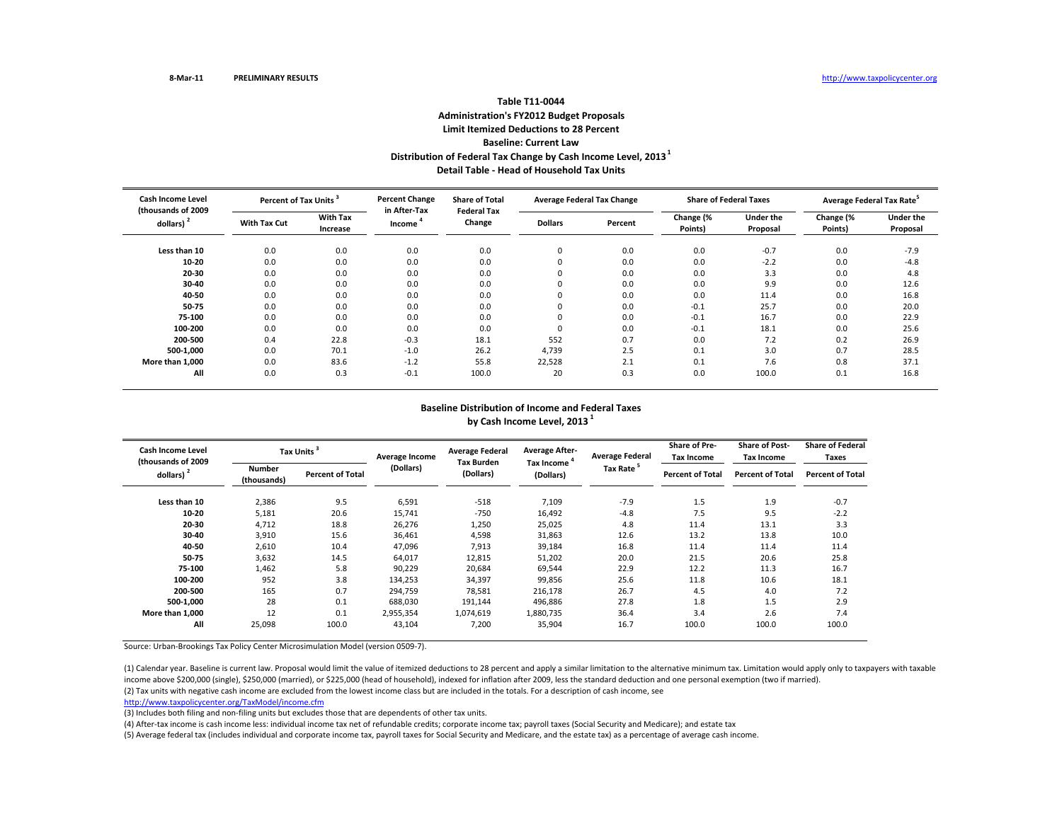## **Table T11‐0044Administration's FY2012 Budget Proposals Limit Itemized Deductions to 28 Percent Baseline: Current LawDistribution of Federal Tax Change by Cash Income Level, <sup>2013</sup><sup>1</sup> Detail Table ‐ Head of Household Tax Units**

| <b>Cash Income Level</b><br>(thousands of 2009 |              | <b>Percent Change</b><br>Percent of Tax Units <sup>3</sup> |                        | <b>Share of Total</b><br><b>Federal Tax</b> | <b>Average Federal Tax Change</b> |         | <b>Share of Federal Taxes</b> |                              | Average Federal Tax Rate <sup>5</sup> |                              |
|------------------------------------------------|--------------|------------------------------------------------------------|------------------------|---------------------------------------------|-----------------------------------|---------|-------------------------------|------------------------------|---------------------------------------|------------------------------|
| dollars)                                       | With Tax Cut | <b>With Tax</b><br>Increase                                | in After-Tax<br>Income | Change                                      | <b>Dollars</b>                    | Percent | Change (%<br>Points)          | <b>Under the</b><br>Proposal | Change (%<br>Points)                  | <b>Under the</b><br>Proposal |
| Less than 10                                   | 0.0          | 0.0                                                        | 0.0                    | 0.0                                         | 0                                 | 0.0     | 0.0                           | $-0.7$                       | 0.0                                   | $-7.9$                       |
| 10-20                                          | 0.0          | 0.0                                                        | 0.0                    | 0.0                                         | $\Omega$                          | 0.0     | 0.0                           | $-2.2$                       | 0.0                                   | $-4.8$                       |
| 20-30                                          | 0.0          | 0.0                                                        | 0.0                    | 0.0                                         | $\Omega$                          | 0.0     | 0.0                           | 3.3                          | 0.0                                   | 4.8                          |
| 30-40                                          | 0.0          | 0.0                                                        | 0.0                    | 0.0                                         | 0                                 | 0.0     | 0.0                           | 9.9                          | 0.0                                   | 12.6                         |
| 40-50                                          | 0.0          | 0.0                                                        | 0.0                    | 0.0                                         | $\Omega$                          | 0.0     | 0.0                           | 11.4                         | 0.0                                   | 16.8                         |
| 50-75                                          | 0.0          | 0.0                                                        | 0.0                    | 0.0                                         |                                   | 0.0     | $-0.1$                        | 25.7                         | 0.0                                   | 20.0                         |
| 75-100                                         | 0.0          | 0.0                                                        | 0.0                    | 0.0                                         |                                   | 0.0     | $-0.1$                        | 16.7                         | 0.0                                   | 22.9                         |
| 100-200                                        | 0.0          | 0.0                                                        | 0.0                    | 0.0                                         | υ                                 | 0.0     | $-0.1$                        | 18.1                         | 0.0                                   | 25.6                         |
| 200-500                                        | 0.4          | 22.8                                                       | $-0.3$                 | 18.1                                        | 552                               | 0.7     | 0.0                           | 7.2                          | 0.2                                   | 26.9                         |
| 500-1.000                                      | 0.0          | 70.1                                                       | $-1.0$                 | 26.2                                        | 4,739                             | 2.5     | 0.1                           | 3.0                          | 0.7                                   | 28.5                         |
| More than 1.000                                | 0.0          | 83.6                                                       | $-1.2$                 | 55.8                                        | 22,528                            | 2.1     | 0.1                           | 7.6                          | 0.8                                   | 37.1                         |
| All                                            | 0.0          | 0.3                                                        | $-0.1$                 | 100.0                                       | 20                                | 0.3     | 0.0                           | 100.0                        | 0.1                                   | 16.8                         |

#### **Baseline Distribution of Income and Federal Taxes by Cash Income Level, <sup>2013</sup> <sup>1</sup>**

| <b>Cash Income Level</b><br>(thousands of 2009 |                       | Tax Units <sup>3</sup>  | Average Income | <b>Average Federal</b>         | <b>Average After-</b>                | <b>Average Federal</b> | <b>Share of Pre-</b><br>Tax Income | <b>Share of Post-</b><br><b>Tax Income</b> | <b>Share of Federal</b><br>Taxes |
|------------------------------------------------|-----------------------|-------------------------|----------------|--------------------------------|--------------------------------------|------------------------|------------------------------------|--------------------------------------------|----------------------------------|
| dollars) <sup>2</sup>                          | Number<br>(thousands) | <b>Percent of Total</b> | (Dollars)      | <b>Tax Burden</b><br>(Dollars) | Tax Income <sup>4</sup><br>(Dollars) | Tax Rate <sup>5</sup>  | <b>Percent of Total</b>            | <b>Percent of Total</b>                    | <b>Percent of Total</b>          |
| Less than 10                                   | 2,386                 | 9.5                     | 6,591          | $-518$                         | 7,109                                | $-7.9$                 | 1.5                                | 1.9                                        | $-0.7$                           |
| 10-20                                          | 5,181                 | 20.6                    | 15,741         | $-750$                         | 16,492                               | $-4.8$                 | 7.5                                | 9.5                                        | $-2.2$                           |
| 20-30                                          | 4,712                 | 18.8                    | 26,276         | 1,250                          | 25,025                               | 4.8                    | 11.4                               | 13.1                                       | 3.3                              |
| 30-40                                          | 3,910                 | 15.6                    | 36,461         | 4,598                          | 31,863                               | 12.6                   | 13.2                               | 13.8                                       | 10.0                             |
| 40-50                                          | 2,610                 | 10.4                    | 47,096         | 7,913                          | 39,184                               | 16.8                   | 11.4                               | 11.4                                       | 11.4                             |
| 50-75                                          | 3,632                 | 14.5                    | 64,017         | 12,815                         | 51,202                               | 20.0                   | 21.5                               | 20.6                                       | 25.8                             |
| 75-100                                         | 1,462                 | 5.8                     | 90,229         | 20,684                         | 69,544                               | 22.9                   | 12.2                               | 11.3                                       | 16.7                             |
| 100-200                                        | 952                   | 3.8                     | 134,253        | 34,397                         | 99,856                               | 25.6                   | 11.8                               | 10.6                                       | 18.1                             |
| 200-500                                        | 165                   | 0.7                     | 294,759        | 78,581                         | 216,178                              | 26.7                   | 4.5                                | 4.0                                        | 7.2                              |
| 500-1,000                                      | 28                    | 0.1                     | 688,030        | 191,144                        | 496,886                              | 27.8                   | 1.8                                | 1.5                                        | 2.9                              |
| More than 1,000                                | 12                    | 0.1                     | 2,955,354      | 1,074,619                      | 1,880,735                            | 36.4                   | 3.4                                | 2.6                                        | 7.4                              |
| All                                            | 25,098                | 100.0                   | 43,104         | 7,200                          | 35,904                               | 16.7                   | 100.0                              | 100.0                                      | 100.0                            |

Source: Urban‐Brookings Tax Policy Center Microsimulation Model (version 0509‐7).

(2) Tax units with negative cash income are excluded from the lowest income class but are included in the totals. For <sup>a</sup> description of cash income, see (1) Calendar year. Baseline is current law. Proposal would limit the value of itemized deductions to 28 percent and apply a similar limitation to the alternative minimum tax. Limitation would apply only to taxpayers with t income above \$200,000 (single), \$250,000 (married), or \$225,000 (head of household), indexed for inflation after 2009, less the standard deduction and one personal exemption (two if married).

http://www.taxpolicycenter.org/TaxModel/income.cfm

(3) Includes both filing and non‐filing units but excludes those that are dependents of other tax units.

(4) After‐tax income is cash income less: individual income tax net of refundable credits; corporate income tax; payroll taxes (Social Security and Medicare); and estate tax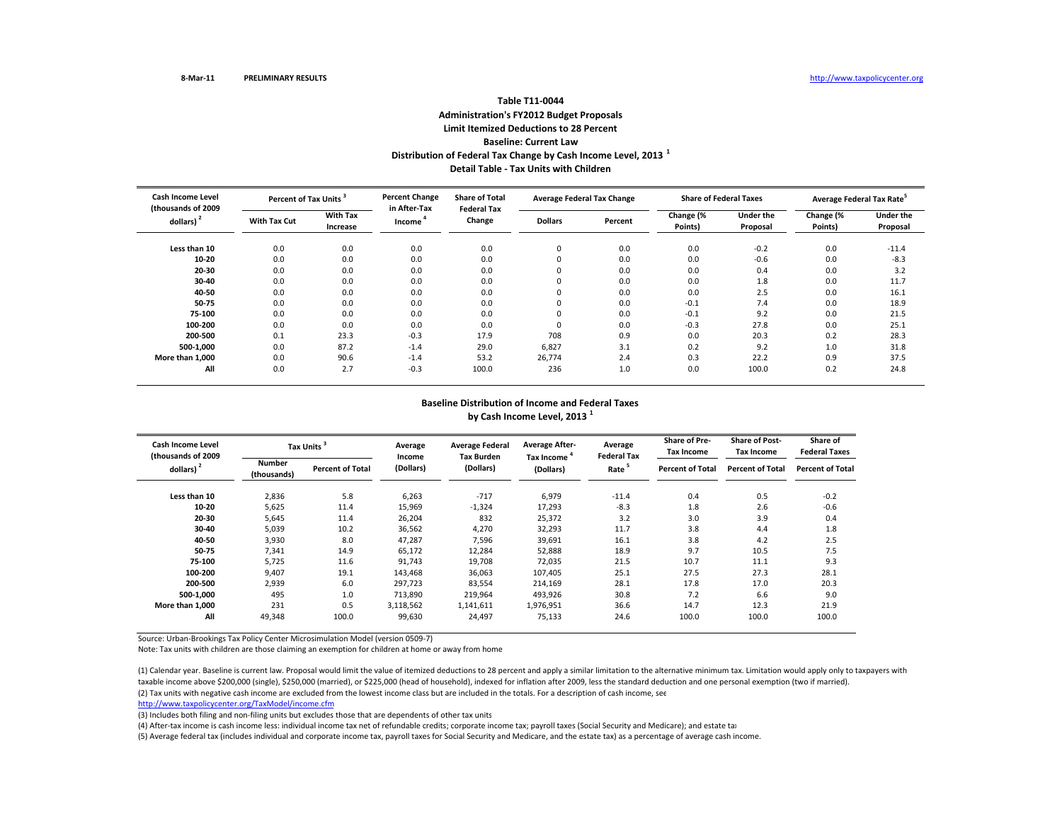### **Table T11‐0044Administration's FY2012 Budget Proposals Limit Itemized Deductions to 28 Percent Baseline: Current LawDistribution of Federal Tax Change by Cash Income Level, <sup>2013</sup> <sup>1</sup> Detail Table ‐ Tax Units with Children**

| <b>Cash Income Level</b><br>(thousands of 2009) | Percent of Tax Units <sup>3</sup> |                             | <b>Percent Change</b><br>in After-Tax | <b>Share of Total</b><br><b>Federal Tax</b> | <b>Average Federal Tax Change</b> |         | <b>Share of Federal Taxes</b> |                       | Average Federal Tax Rate |                       |
|-------------------------------------------------|-----------------------------------|-----------------------------|---------------------------------------|---------------------------------------------|-----------------------------------|---------|-------------------------------|-----------------------|--------------------------|-----------------------|
| dollars) <sup>2</sup>                           | <b>With Tax Cut</b>               | <b>With Tax</b><br>Increase | Income                                | Change                                      | <b>Dollars</b>                    | Percent | Change (%<br>Points)          | Under the<br>Proposal | Change (%<br>Points)     | Under the<br>Proposal |
| Less than 10                                    | 0.0                               | 0.0                         | 0.0                                   | 0.0                                         | 0                                 | 0.0     | 0.0                           | $-0.2$                | 0.0                      | $-11.4$               |
| 10-20                                           | 0.0                               | 0.0                         | 0.0                                   | 0.0                                         | $\mathbf 0$                       | 0.0     | 0.0                           | $-0.6$                | 0.0                      | $-8.3$                |
| 20-30                                           | 0.0                               | 0.0                         | 0.0                                   | 0.0                                         | 0                                 | 0.0     | 0.0                           | 0.4                   | 0.0                      | 3.2                   |
| 30-40                                           | 0.0                               | 0.0                         | 0.0                                   | 0.0                                         | $\mathbf 0$                       | 0.0     | 0.0                           | 1.8                   | 0.0                      | 11.7                  |
| 40-50                                           | 0.0                               | 0.0                         | 0.0                                   | 0.0                                         | $\mathbf 0$                       | 0.0     | 0.0                           | 2.5                   | 0.0                      | 16.1                  |
| 50-75                                           | 0.0                               | 0.0                         | 0.0                                   | 0.0                                         | 0                                 | 0.0     | $-0.1$                        | 7.4                   | 0.0                      | 18.9                  |
| 75-100                                          | 0.0                               | 0.0                         | 0.0                                   | 0.0                                         | 0                                 | 0.0     | $-0.1$                        | 9.2                   | 0.0                      | 21.5                  |
| 100-200                                         | 0.0                               | 0.0                         | 0.0                                   | 0.0                                         | $\mathbf 0$                       | 0.0     | $-0.3$                        | 27.8                  | 0.0                      | 25.1                  |
| 200-500                                         | 0.1                               | 23.3                        | $-0.3$                                | 17.9                                        | 708                               | 0.9     | 0.0                           | 20.3                  | 0.2                      | 28.3                  |
| 500-1.000                                       | 0.0                               | 87.2                        | $-1.4$                                | 29.0                                        | 6,827                             | 3.1     | 0.2                           | 9.2                   | 1.0                      | 31.8                  |
| More than 1.000                                 | 0.0                               | 90.6                        | $-1.4$                                | 53.2                                        | 26,774                            | 2.4     | 0.3                           | 22.2                  | 0.9                      | 37.5                  |
| All                                             | 0.0                               | 2.7                         | $-0.3$                                | 100.0                                       | 236                               | 1.0     | 0.0                           | 100.0                 | 0.2                      | 24.8                  |

#### **Baseline Distribution of Income and Federal Taxes**

**by Cash Income Level, <sup>2013</sup> <sup>1</sup>**

| <b>Cash Income Level</b><br>(thousands of 2009 |                              | <b>Tax Units</b>        | Average<br>Income | <b>Average Federal</b><br><b>Tax Burden</b> | <b>Average After-</b><br>Tax Income <sup>4</sup> | Average<br><b>Federal Tax</b> | <b>Share of Pre-</b><br><b>Tax Income</b> | <b>Share of Post-</b><br><b>Tax Income</b> | Share of<br><b>Federal Taxes</b> |
|------------------------------------------------|------------------------------|-------------------------|-------------------|---------------------------------------------|--------------------------------------------------|-------------------------------|-------------------------------------------|--------------------------------------------|----------------------------------|
| dollars) <sup>2</sup>                          | <b>Number</b><br>(thousands) | <b>Percent of Total</b> | (Dollars)         | (Dollars)                                   | (Dollars)                                        | Rate <sup>5</sup>             | <b>Percent of Total</b>                   | <b>Percent of Total</b>                    | <b>Percent of Total</b>          |
| Less than 10                                   | 2,836                        | 5.8                     | 6,263             | $-717$                                      | 6,979                                            | $-11.4$                       | 0.4                                       | 0.5                                        | $-0.2$                           |
| 10-20                                          | 5,625                        | 11.4                    | 15,969            | $-1,324$                                    | 17,293                                           | $-8.3$                        | 1.8                                       | 2.6                                        | $-0.6$                           |
| 20-30                                          | 5,645                        | 11.4                    | 26,204            | 832                                         | 25,372                                           | 3.2                           | 3.0                                       | 3.9                                        | 0.4                              |
| 30-40                                          | 5,039                        | 10.2                    | 36,562            | 4,270                                       | 32,293                                           | 11.7                          | 3.8                                       | 4.4                                        | 1.8                              |
| 40-50                                          | 3,930                        | 8.0                     | 47,287            | 7,596                                       | 39,691                                           | 16.1                          | 3.8                                       | 4.2                                        | 2.5                              |
| 50-75                                          | 7,341                        | 14.9                    | 65,172            | 12,284                                      | 52,888                                           | 18.9                          | 9.7                                       | 10.5                                       | 7.5                              |
| 75-100                                         | 5.725                        | 11.6                    | 91,743            | 19.708                                      | 72.035                                           | 21.5                          | 10.7                                      | 11.1                                       | 9.3                              |
| 100-200                                        | 9,407                        | 19.1                    | 143,468           | 36,063                                      | 107,405                                          | 25.1                          | 27.5                                      | 27.3                                       | 28.1                             |
| 200-500                                        | 2,939                        | 6.0                     | 297,723           | 83,554                                      | 214,169                                          | 28.1                          | 17.8                                      | 17.0                                       | 20.3                             |
| 500-1.000                                      | 495                          | 1.0                     | 713,890           | 219,964                                     | 493,926                                          | 30.8                          | 7.2                                       | 6.6                                        | 9.0                              |
| More than 1,000                                | 231                          | 0.5                     | 3,118,562         | 1,141,611                                   | 1,976,951                                        | 36.6                          | 14.7                                      | 12.3                                       | 21.9                             |
| All                                            | 49,348                       | 100.0                   | 99,630            | 24,497                                      | 75,133                                           | 24.6                          | 100.0                                     | 100.0                                      | 100.0                            |

Source: Urban‐Brookings Tax Policy Center Microsimulation Model (version 0509‐7)

Note: Tax units with children are those claiming an exemption for children at home or away from home

(2) Tax units with negative cash income are excluded from the lowest income class but are included in the totals. For <sup>a</sup> description of cash income, see (1) Calendar year. Baseline is current law. Proposal would limit the value of itemized deductions to 28 percent and apply <sup>a</sup> similar limitation to the alternative minimum tax. Limitation would apply only to taxpayers with taxable income above \$200,000 (single), \$250,000 (married), or \$225,000 (head of household), indexed for inflation after 2009, less the standard deduction and one personal exemption (two if married).

http://www.taxpolicycenter.org/TaxModel/income.cfm

(3) Includes both filing and non-filing units but excludes those that are dependents of other tax units

(4) After‐tax income is cash income less: individual income tax net of refundable credits; corporate income tax; payroll taxes (Social Security and Medicare); and estate tax